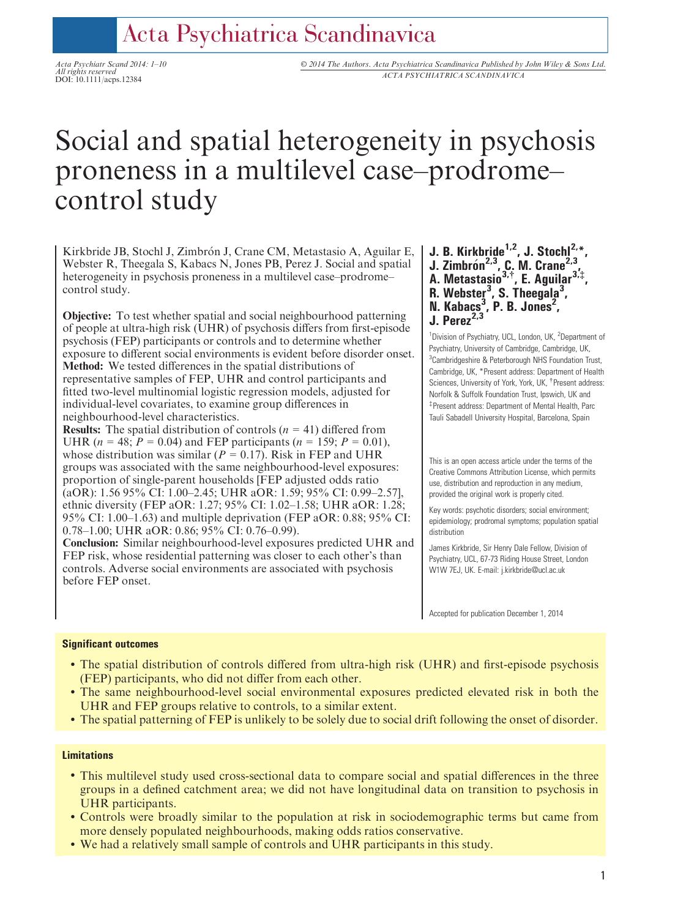# Acta Psychiatrica Scandinavica

All rights reserved

Acta Psychiatr Scand 2014: 1–10 © 2014 The Authors. Acta Psychiatrica Scandinavica Published by John Wiley & Sons Ltd. All rights reserved<br>DOI: 10.1111/acps.12384 ACTA PSYCHIATRICA SCANDINAVICA

# Social and spatial heterogeneity in psychosis proneness in a multilevel case–prodrome– control study

Kirkbride JB, Stochl J, Zimbrón J, Crane CM, Metastasio A, Aguilar E, Webster R, Theegala S, Kabacs N, Jones PB, Perez J. Social and spatial heterogeneity in psychosis proneness in a multilevel case–prodrome– control study.

Objective: To test whether spatial and social neighbourhood patterning of people at ultra-high risk (UHR) of psychosis differs from first-episode psychosis (FEP) participants or controls and to determine whether exposure to different social environments is evident before disorder onset. Method: We tested differences in the spatial distributions of representative samples of FEP, UHR and control participants and fitted two-level multinomial logistic regression models, adjusted for individual-level covariates, to examine group differences in neighbourhood-level characteristics.

**Results:** The spatial distribution of controls ( $n = 41$ ) differed from UHR ( $n = 48$ ;  $P = 0.04$ ) and FEP participants ( $n = 159$ ;  $P = 0.01$ ), whose distribution was similar ( $P = 0.17$ ). Risk in FEP and UHR groups was associated with the same neighbourhood-level exposures: proportion of single-parent households [FEP adjusted odds ratio (aOR): 1.56 95% CI: 1.00–2.45; UHR aOR: 1.59; 95% CI: 0.99–2.57], ethnic diversity (FEP aOR: 1.27; 95% CI: 1.02–1.58; UHR aOR: 1.28; 95% CI: 1.00–1.63) and multiple deprivation (FEP aOR: 0.88; 95% CI: 0.78–1.00; UHR aOR: 0.86; 95% CI: 0.76–0.99).

Conclusion: Similar neighbourhood-level exposures predicted UHR and FEP risk, whose residential patterning was closer to each other's than controls. Adverse social environments are associated with psychosis before FEP onset.

# J. B. Kirkbride<sup>1,2</sup>, J. Stochl<sup>2,\*</sup> J. Zimbrón $^{2,3}$ , C. M. Crane $^{2,3}$ , A. Metastasio<sup>3,†</sup>, E. Aguilar<sup>3,‡</sup> A. Metastasio<sup>3,†</sup>, E. Aguilar<sup>3,‡</sup>,<br>R. Websterª, S. Theegalaª,  $N.$  Kabaçs $3$ , P. B. Jones<sup>2</sup>,  $J.$  Perez<sup>2,3</sup>

<sup>1</sup>Division of Psychiatry, UCL, London, UK, <sup>2</sup>Department of Psychiatry, University of Cambridge, Cambridge, UK, <sup>3</sup>Cambridgeshire & Peterborough NHS Foundation Trust, Cambridge, UK, \*Present address: Department of Health Sciences, University of York, York, UK, <sup>†</sup> Present address: Norfolk & Suffolk Foundation Trust, Ipswich, UK and ‡ Present address: Department of Mental Health, Parc Tauli Sabadell University Hospital, Barcelona, Spain

This is an open access article under the terms of the Creative Commons Attribution License, which permits use, distribution and reproduction in any medium, provided the original work is properly cited.

Key words: psychotic disorders; social environment; epidemiology; prodromal symptoms; population spatial distribution

James Kirkbride, Sir Henry Dale Fellow, Division of Psychiatry, UCL, 67-73 Riding House Street, London W1W 7EJ, UK. E-mail: j.kirkbride@ucl.ac.uk

Accepted for publication December 1, 2014

### Significant outcomes

- The spatial distribution of controls differed from ultra-high risk (UHR) and first-episode psychosis (FEP) participants, who did not differ from each other.
- The same neighbourhood-level social environmental exposures predicted elevated risk in both the UHR and FEP groups relative to controls, to a similar extent.
- The spatial patterning of FEP is unlikely to be solely due to social drift following the onset of disorder.

#### Limitations

- This multilevel study used cross-sectional data to compare social and spatial differences in the three groups in a defined catchment area; we did not have longitudinal data on transition to psychosis in UHR participants.
- Controls were broadly similar to the population at risk in sociodemographic terms but came from more densely populated neighbourhoods, making odds ratios conservative.
- We had a relatively small sample of controls and UHR participants in this study.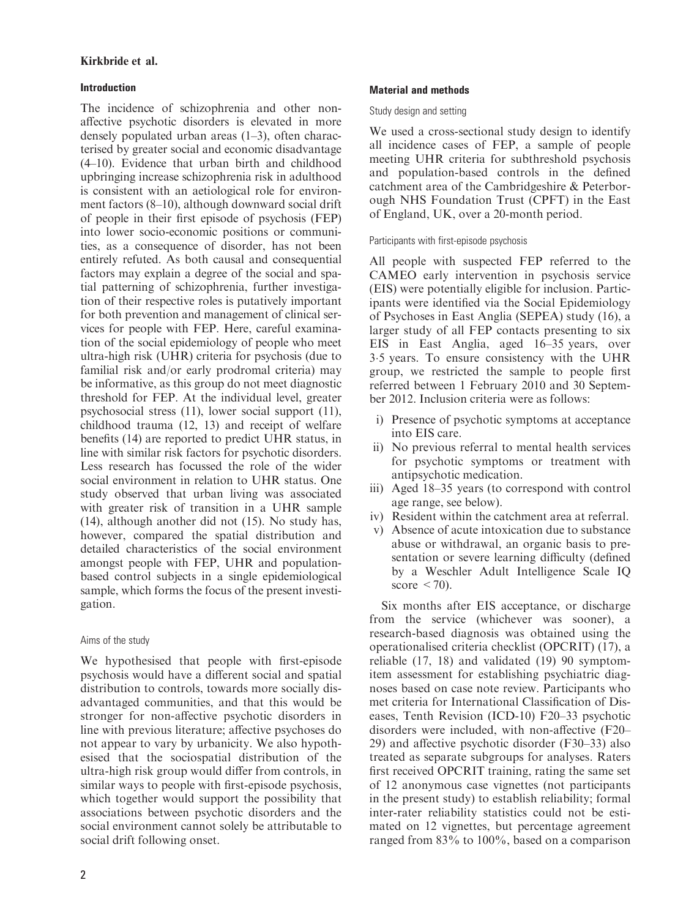# Introduction

The incidence of schizophrenia and other nonaffective psychotic disorders is elevated in more densely populated urban areas (1–3), often characterised by greater social and economic disadvantage (4–10). Evidence that urban birth and childhood upbringing increase schizophrenia risk in adulthood is consistent with an aetiological role for environment factors (8–10), although downward social drift of people in their first episode of psychosis (FEP) into lower socio-economic positions or communities, as a consequence of disorder, has not been entirely refuted. As both causal and consequential factors may explain a degree of the social and spatial patterning of schizophrenia, further investigation of their respective roles is putatively important for both prevention and management of clinical services for people with FEP. Here, careful examination of the social epidemiology of people who meet ultra-high risk (UHR) criteria for psychosis (due to familial risk and/or early prodromal criteria) may be informative, as this group do not meet diagnostic threshold for FEP. At the individual level, greater psychosocial stress (11), lower social support (11), childhood trauma (12, 13) and receipt of welfare benefits (14) are reported to predict UHR status, in line with similar risk factors for psychotic disorders. Less research has focussed the role of the wider social environment in relation to UHR status. One study observed that urban living was associated with greater risk of transition in a UHR sample (14), although another did not (15). No study has, however, compared the spatial distribution and detailed characteristics of the social environment amongst people with FEP, UHR and populationbased control subjects in a single epidemiological sample, which forms the focus of the present investigation.

# Aims of the study

We hypothesised that people with first-episode psychosis would have a different social and spatial distribution to controls, towards more socially disadvantaged communities, and that this would be stronger for non-affective psychotic disorders in line with previous literature; affective psychoses do not appear to vary by urbanicity. We also hypothesised that the sociospatial distribution of the ultra-high risk group would differ from controls, in similar ways to people with first-episode psychosis, which together would support the possibility that associations between psychotic disorders and the social environment cannot solely be attributable to social drift following onset.

## Material and methods

# Study design and setting

We used a cross-sectional study design to identify all incidence cases of FEP, a sample of people meeting UHR criteria for subthreshold psychosis and population-based controls in the defined catchment area of the Cambridgeshire & Peterborough NHS Foundation Trust (CPFT) in the East of England, UK, over a 20-month period.

### Participants with first-episode psychosis

All people with suspected FEP referred to the CAMEO early intervention in psychosis service (EIS) were potentially eligible for inclusion. Participants were identified via the Social Epidemiology of Psychoses in East Anglia (SEPEA) study (16), a larger study of all FEP contacts presenting to six EIS in East Anglia, aged 16–35 years, over 35 years. To ensure consistency with the UHR group, we restricted the sample to people first referred between 1 February 2010 and 30 September 2012. Inclusion criteria were as follows:

- i) Presence of psychotic symptoms at acceptance into EIS care.
- ii) No previous referral to mental health services for psychotic symptoms or treatment with antipsychotic medication.
- iii) Aged 18–35 years (to correspond with control age range, see below).
- iv) Resident within the catchment area at referral.
- v) Absence of acute intoxication due to substance abuse or withdrawal, an organic basis to presentation or severe learning difficulty (defined by a Weschler Adult Intelligence Scale IQ score  $\leq$  70).

Six months after EIS acceptance, or discharge from the service (whichever was sooner), a research-based diagnosis was obtained using the operationalised criteria checklist (OPCRIT) (17), a reliable (17, 18) and validated (19) 90 symptomitem assessment for establishing psychiatric diagnoses based on case note review. Participants who met criteria for International Classification of Diseases, Tenth Revision (ICD-10) F20–33 psychotic disorders were included, with non-affective (F20– 29) and affective psychotic disorder (F30–33) also treated as separate subgroups for analyses. Raters first received OPCRIT training, rating the same set of 12 anonymous case vignettes (not participants in the present study) to establish reliability; formal inter-rater reliability statistics could not be estimated on 12 vignettes, but percentage agreement ranged from 83% to 100%, based on a comparison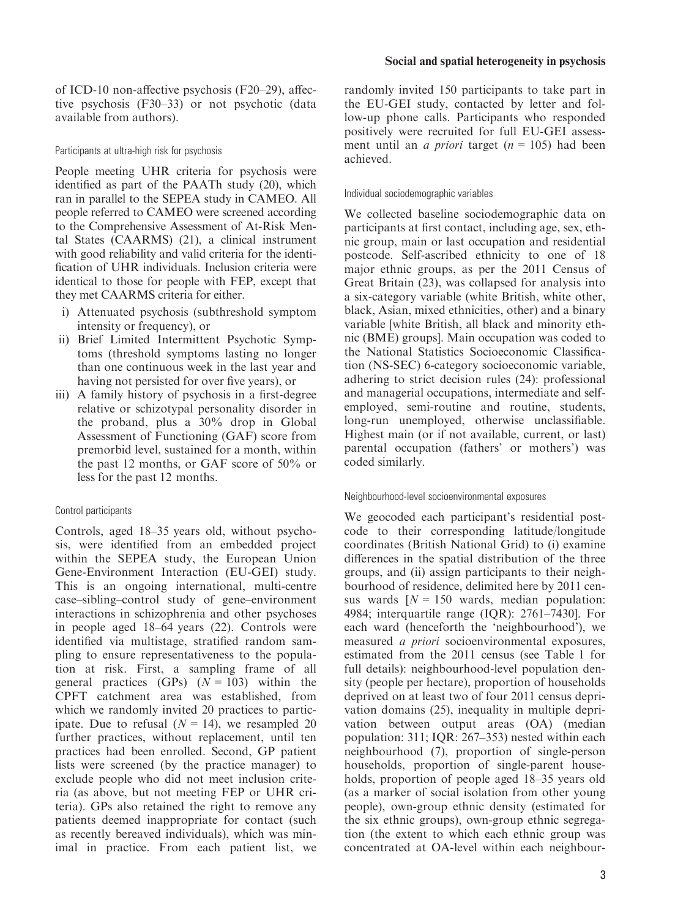of ICD-10 non-affective psychosis (F20–29), affective psychosis (F30–33) or not psychotic (data available from authors).

# Participants at ultra-high risk for psychosis

People meeting UHR criteria for psychosis were identified as part of the PAATh study (20), which ran in parallel to the SEPEA study in CAMEO. All people referred to CAMEO were screened according to the Comprehensive Assessment of At-Risk Mental States (CAARMS) (21), a clinical instrument with good reliability and valid criteria for the identification of UHR individuals. Inclusion criteria were identical to those for people with FEP, except that they met CAARMS criteria for either.

- i) Attenuated psychosis (subthreshold symptom intensity or frequency), or
- ii) Brief Limited Intermittent Psychotic Symptoms (threshold symptoms lasting no longer than one continuous week in the last year and having not persisted for over five years), or
- iii) A family history of psychosis in a first-degree relative or schizotypal personality disorder in the proband, plus a 30% drop in Global Assessment of Functioning (GAF) score from premorbid level, sustained for a month, within the past 12 months, or GAF score of 50% or less for the past 12 months.

# Control participants

Controls, aged 18–35 years old, without psychosis, were identified from an embedded project within the SEPEA study, the European Union Gene-Environment Interaction (EU-GEI) study. This is an ongoing international, multi-centre case–sibling–control study of gene–environment interactions in schizophrenia and other psychoses in people aged 18–64 years (22). Controls were identified via multistage, stratified random sampling to ensure representativeness to the population at risk. First, a sampling frame of all general practices (GPs)  $(N = 103)$  within the CPFT catchment area was established, from which we randomly invited 20 practices to participate. Due to refusal  $(N = 14)$ , we resampled 20 further practices, without replacement, until ten practices had been enrolled. Second, GP patient lists were screened (by the practice manager) to exclude people who did not meet inclusion criteria (as above, but not meeting FEP or UHR criteria). GPs also retained the right to remove any patients deemed inappropriate for contact (such as recently bereaved individuals), which was minimal in practice. From each patient list, we

randomly invited 150 participants to take part in the EU-GEI study, contacted by letter and follow-up phone calls. Participants who responded positively were recruited for full EU-GEI assessment until an *a priori* target ( $n = 105$ ) had been achieved.

# Individual sociodemographic variables

We collected baseline sociodemographic data on participants at first contact, including age, sex, ethnic group, main or last occupation and residential postcode. Self-ascribed ethnicity to one of 18 major ethnic groups, as per the 2011 Census of Great Britain (23), was collapsed for analysis into a six-category variable (white British, white other, black, Asian, mixed ethnicities, other) and a binary variable [white British, all black and minority ethnic (BME) groups]. Main occupation was coded to the National Statistics Socioeconomic Classification (NS-SEC) 6-category socioeconomic variable, adhering to strict decision rules (24): professional and managerial occupations, intermediate and selfemployed, semi-routine and routine, students, long-run unemployed, otherwise unclassifiable. Highest main (or if not available, current, or last) parental occupation (fathers' or mothers') was coded similarly.

# Neighbourhood-level socioenvironmental exposures

We geocoded each participant's residential postcode to their corresponding latitude/longitude coordinates (British National Grid) to (i) examine differences in the spatial distribution of the three groups, and (ii) assign participants to their neighbourhood of residence, delimited here by 2011 census wards  $[N = 150$  wards, median population: 4984; interquartile range (IQR): 2761–7430]. For each ward (henceforth the 'neighbourhood'), we measured a priori socioenvironmental exposures, estimated from the 2011 census (see Table 1 for full details): neighbourhood-level population density (people per hectare), proportion of households deprived on at least two of four 2011 census deprivation domains (25), inequality in multiple deprivation between output areas (OA) (median population: 311; IQR: 267–353) nested within each neighbourhood (7), proportion of single-person households, proportion of single-parent households, proportion of people aged 18–35 years old (as a marker of social isolation from other young people), own-group ethnic density (estimated for the six ethnic groups), own-group ethnic segregation (the extent to which each ethnic group was concentrated at OA-level within each neighbour-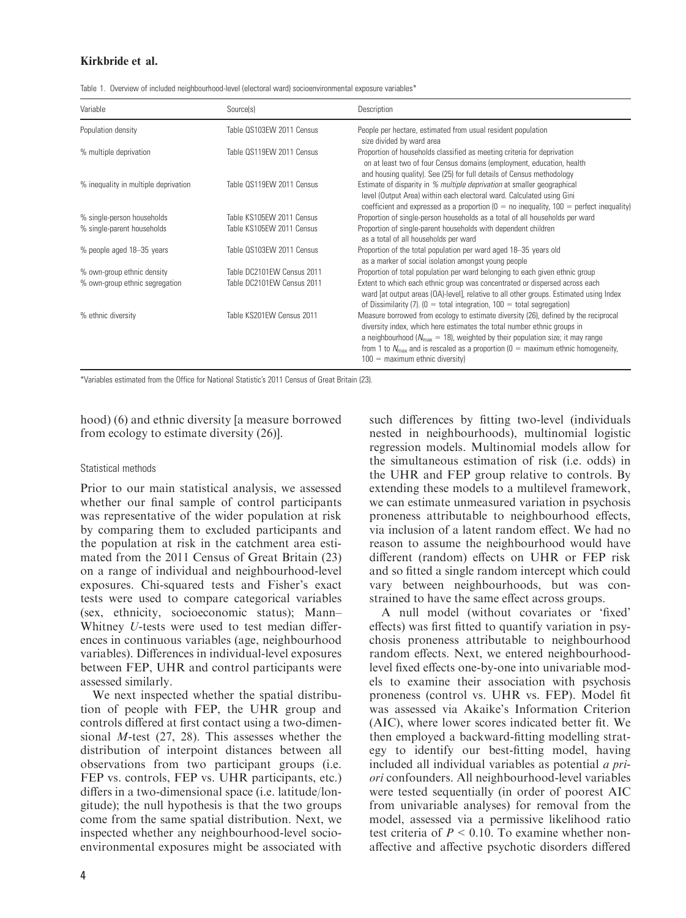Table 1. Overview of included neighbourhood-level (electoral ward) socioenvironmental exposure variables\*

| Variable                             | Source(s)                  | Description                                                                                                                                                                                                                                                                                                                                                                                      |
|--------------------------------------|----------------------------|--------------------------------------------------------------------------------------------------------------------------------------------------------------------------------------------------------------------------------------------------------------------------------------------------------------------------------------------------------------------------------------------------|
| Population density                   | Table QS103EW 2011 Census  | People per hectare, estimated from usual resident population<br>size divided by ward area                                                                                                                                                                                                                                                                                                        |
| % multiple deprivation               | Table OS119EW 2011 Census  | Proportion of households classified as meeting criteria for deprivation<br>on at least two of four Census domains (employment, education, health<br>and housing quality). See (25) for full details of Census methodology                                                                                                                                                                        |
| % inequality in multiple deprivation | Table OS119EW 2011 Census  | Estimate of disparity in % multiple deprivation at smaller geographical<br>level (Output Area) within each electoral ward. Calculated using Gini<br>coefficient and expressed as a proportion ( $0 =$ no inequality, $100 =$ perfect inequality)                                                                                                                                                 |
| % single-person households           | Table KS105EW 2011 Census  | Proportion of single-person households as a total of all households per ward                                                                                                                                                                                                                                                                                                                     |
| % single-parent households           | Table KS105EW 2011 Census  | Proportion of single-parent households with dependent children<br>as a total of all households per ward                                                                                                                                                                                                                                                                                          |
| % people aged 18-35 years            | Table QS103EW 2011 Census  | Proportion of the total population per ward aged 18-35 years old<br>as a marker of social isolation amongst young people                                                                                                                                                                                                                                                                         |
| % own-group ethnic density           | Table DC2101EW Census 2011 | Proportion of total population per ward belonging to each given ethnic group                                                                                                                                                                                                                                                                                                                     |
| % own-group ethnic segregation       | Table DC2101EW Census 2011 | Extent to which each ethnic group was concentrated or dispersed across each<br>ward [at output areas (OA)-level], relative to all other groups. Estimated using Index<br>of Dissimilarity (7). ( $0 =$ total integration, $100 =$ total segregation)                                                                                                                                             |
| % ethnic diversity                   | Table KS201EW Census 2011  | Measure borrowed from ecology to estimate diversity (26), defined by the reciprocal<br>diversity index, which here estimates the total number ethnic groups in<br>a neighbourhood ( $N_{\text{max}} = 18$ ), weighted by their population size; it may range<br>from 1 to $N_{\text{max}}$ and is rescaled as a proportion (0 = maximum ethnic homogeneity,<br>$100 =$ maximum ethnic diversity) |

\*Variables estimated from the Office for National Statistic's 2011 Census of Great Britain (23).

hood) (6) and ethnic diversity [a measure borrowed from ecology to estimate diversity (26)].

### Statistical methods

Prior to our main statistical analysis, we assessed whether our final sample of control participants was representative of the wider population at risk by comparing them to excluded participants and the population at risk in the catchment area estimated from the 2011 Census of Great Britain (23) on a range of individual and neighbourhood-level exposures. Chi-squared tests and Fisher's exact tests were used to compare categorical variables (sex, ethnicity, socioeconomic status); Mann– Whitney U-tests were used to test median differences in continuous variables (age, neighbourhood variables). Differences in individual-level exposures between FEP, UHR and control participants were assessed similarly.

We next inspected whether the spatial distribution of people with FEP, the UHR group and controls differed at first contact using a two-dimensional M-test (27, 28). This assesses whether the distribution of interpoint distances between all observations from two participant groups (i.e. FEP vs. controls, FEP vs. UHR participants, etc.) differs in a two-dimensional space (i.e. latitude/longitude); the null hypothesis is that the two groups come from the same spatial distribution. Next, we inspected whether any neighbourhood-level socioenvironmental exposures might be associated with such differences by fitting two-level (individuals nested in neighbourhoods), multinomial logistic regression models. Multinomial models allow for the simultaneous estimation of risk (i.e. odds) in the UHR and FEP group relative to controls. By extending these models to a multilevel framework, we can estimate unmeasured variation in psychosis proneness attributable to neighbourhood effects, via inclusion of a latent random effect. We had no reason to assume the neighbourhood would have different (random) effects on UHR or FEP risk and so fitted a single random intercept which could vary between neighbourhoods, but was constrained to have the same effect across groups.

A null model (without covariates or 'fixed' effects) was first fitted to quantify variation in psychosis proneness attributable to neighbourhood random effects. Next, we entered neighbourhoodlevel fixed effects one-by-one into univariable models to examine their association with psychosis proneness (control vs. UHR vs. FEP). Model fit was assessed via Akaike's Information Criterion (AIC), where lower scores indicated better fit. We then employed a backward-fitting modelling strategy to identify our best-fitting model, having included all individual variables as potential a priori confounders. All neighbourhood-level variables were tested sequentially (in order of poorest AIC from univariable analyses) for removal from the model, assessed via a permissive likelihood ratio test criteria of  $P \le 0.10$ . To examine whether nonaffective and affective psychotic disorders differed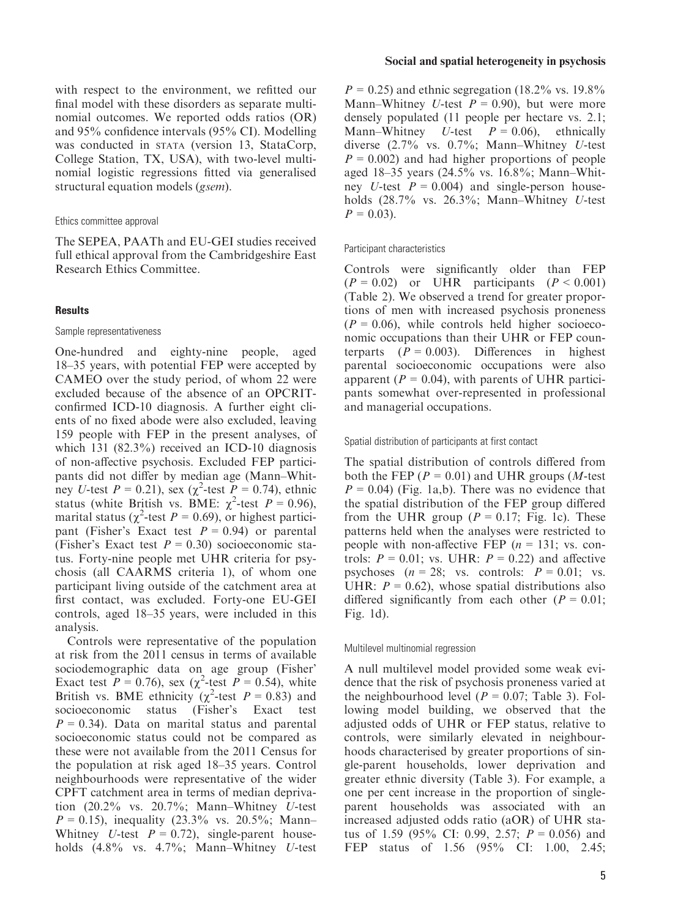with respect to the environment, we refitted our final model with these disorders as separate multinomial outcomes. We reported odds ratios (OR) and 95% confidence intervals (95% CI). Modelling was conducted in STATA (version 13, StataCorp, College Station, TX, USA), with two-level multinomial logistic regressions fitted via generalised structural equation models (gsem).

#### Ethics committee approval

The SEPEA, PAATh and EU-GEI studies received full ethical approval from the Cambridgeshire East Research Ethics Committee.

#### **Results**

#### Sample representativeness

One-hundred and eighty-nine people, aged 18–35 years, with potential FEP were accepted by CAMEO over the study period, of whom 22 were excluded because of the absence of an OPCRITconfirmed ICD-10 diagnosis. A further eight clients of no fixed abode were also excluded, leaving 159 people with FEP in the present analyses, of which 131 (82.3%) received an ICD-10 diagnosis of non-affective psychosis. Excluded FEP participants did not differ by median age (Mann–Whitney U-test  $P = 0.21$ ), sex ( $\chi^2$ -test  $P = 0.74$ ), ethnic status (white British vs. BME:  $\chi^2$ -test  $P = 0.96$ ), marital status ( $\chi^2$ -test  $P = 0.69$ ), or highest participant (Fisher's Exact test  $P = 0.94$ ) or parental (Fisher's Exact test  $P = 0.30$ ) socioeconomic status. Forty-nine people met UHR criteria for psychosis (all CAARMS criteria 1), of whom one participant living outside of the catchment area at first contact, was excluded. Forty-one EU-GEI controls, aged 18–35 years, were included in this analysis.

Controls were representative of the population at risk from the 2011 census in terms of available sociodemographic data on age group (Fisher' Exact test  $P = 0.76$ , sex ( $\chi^2$ -test  $P = 0.54$ ), white British vs. BME ethnicity  $(\chi^2$ -test  $P = 0.83)$  and socioeconomic status (Fisher's Exact test  $P = 0.34$ ). Data on marital status and parental socioeconomic status could not be compared as these were not available from the 2011 Census for the population at risk aged 18–35 years. Control neighbourhoods were representative of the wider CPFT catchment area in terms of median deprivation (20.2% vs. 20.7%; Mann–Whitney U-test  $P = 0.15$ ), inequality (23.3% vs. 20.5%; Mann– Whitney U-test  $P = 0.72$ , single-parent households (4.8% vs. 4.7%; Mann–Whitney U-test

 $P = 0.25$ ) and ethnic segregation (18.2% vs. 19.8%) Mann–Whitney U-test  $P = 0.90$ , but were more densely populated (11 people per hectare vs. 2.1; Mann–Whitney *U*-test  $P = 0.06$ , ethnically diverse (2.7% vs. 0.7%; Mann–Whitney U-test  $P = 0.002$ ) and had higher proportions of people aged 18–35 years (24.5% vs. 16.8%; Mann–Whitney U-test  $P = 0.004$ ) and single-person households (28.7% vs. 26.3%; Mann–Whitney U-test  $P = 0.03$ .

#### Participant characteristics

Controls were significantly older than FEP  $(P = 0.02)$  or UHR participants  $(P < 0.001)$ (Table 2). We observed a trend for greater proportions of men with increased psychosis proneness  $(P = 0.06)$ , while controls held higher socioeconomic occupations than their UHR or FEP counterparts  $(P = 0.003)$ . Differences in highest parental socioeconomic occupations were also apparent ( $P = 0.04$ ), with parents of UHR participants somewhat over-represented in professional and managerial occupations.

#### Spatial distribution of participants at first contact

The spatial distribution of controls differed from both the FEP ( $P = 0.01$ ) and UHR groups (*M*-test  $P = 0.04$ ) (Fig. 1a,b). There was no evidence that the spatial distribution of the FEP group differed from the UHR group ( $P = 0.17$ ; Fig. 1c). These patterns held when the analyses were restricted to people with non-affective FEP  $(n = 131; \text{ vs. con-}$ trols:  $P = 0.01$ ; vs. UHR:  $P = 0.22$ ) and affective psychoses  $(n = 28$ ; vs. controls:  $P = 0.01$ ; vs. UHR:  $P = 0.62$ ), whose spatial distributions also differed significantly from each other  $(P = 0.01)$ ; Fig. 1d).

#### Multilevel multinomial regression

A null multilevel model provided some weak evidence that the risk of psychosis proneness varied at the neighbourhood level ( $P = 0.07$ ; Table 3). Following model building, we observed that the adjusted odds of UHR or FEP status, relative to controls, were similarly elevated in neighbourhoods characterised by greater proportions of single-parent households, lower deprivation and greater ethnic diversity (Table 3). For example, a one per cent increase in the proportion of singleparent households was associated with an increased adjusted odds ratio (aOR) of UHR status of 1.59 (95% CI: 0.99, 2.57;  $P = 0.056$ ) and FEP status of 1.56 (95% CI: 1.00, 2.45;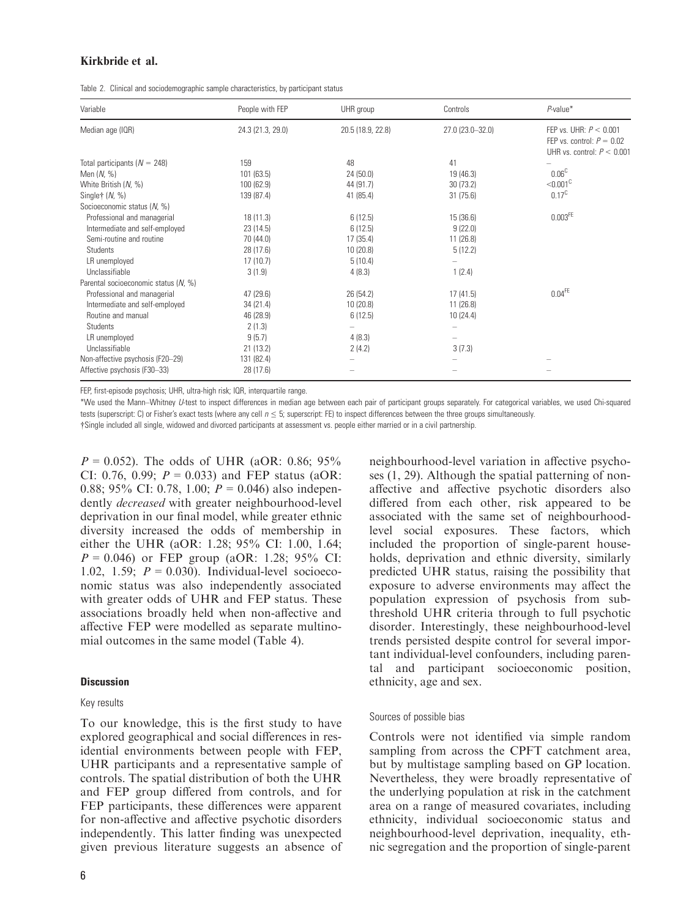|  |  |  | Table 2. Clinical and sociodemographic sample characteristics, by participant status |  |
|--|--|--|--------------------------------------------------------------------------------------|--|
|--|--|--|--------------------------------------------------------------------------------------|--|

| Variable                             | People with FEP   | UHR group         | Controls         | $P$ -value*                                                                             |
|--------------------------------------|-------------------|-------------------|------------------|-----------------------------------------------------------------------------------------|
| Median age (IQR)                     | 24.3 (21.3, 29.0) | 20.5 (18.9, 22.8) | 27.0 (23.0-32.0) | FEP vs. UHR: $P < 0.001$<br>FEP vs. control: $P = 0.02$<br>UHR vs. control: $P < 0.001$ |
| Total participants ( $N = 248$ )     | 159               | 48                | 41               |                                                                                         |
| Men $(N, %)$                         | 101(63.5)         | 24(50.0)          | 19 (46.3)        | 0.06 <sup>C</sup>                                                                       |
| White British (N, %)                 | 100 (62.9)        | 44 (91.7)         | 30(73.2)         | ${<}0.001$ <sup>C</sup>                                                                 |
| Singlet $(N, %)$                     | 139 (87.4)        | 41 (85.4)         | 31(75.6)         | $0.17^{\circ}$                                                                          |
| Socioeconomic status (N, %)          |                   |                   |                  |                                                                                         |
| Professional and managerial          | 18(11.3)          | 6(12.5)           | 15(36.6)         | $0.003$ <sup>FE</sup>                                                                   |
| Intermediate and self-employed       | 23(14.5)          | 6(12.5)           | 9(22.0)          |                                                                                         |
| Semi-routine and routine             | 70 (44.0)         | 17(35.4)          | 11(26.8)         |                                                                                         |
| <b>Students</b>                      | 28(17.6)          | 10(20.8)          | 5(12.2)          |                                                                                         |
| LR unemployed                        | 17(10.7)          | 5(10.4)           |                  |                                                                                         |
| Unclassifiable                       | 3(1.9)            | 4(8.3)            | 1(2.4)           |                                                                                         |
| Parental socioeconomic status (N, %) |                   |                   |                  |                                                                                         |
| Professional and managerial          | 47 (29.6)         | 26 (54.2)         | 17(41.5)         | 0.04 <sup>FE</sup>                                                                      |
| Intermediate and self-employed       | 34 (21.4)         | 10(20.8)          | 11(26.8)         |                                                                                         |
| Routine and manual                   | 46 (28.9)         | 6(12.5)           | 10(24.4)         |                                                                                         |
| Students                             | 2(1.3)            |                   |                  |                                                                                         |
| LR unemployed                        | 9(5.7)            | 4(8.3)            |                  |                                                                                         |
| Unclassifiable                       | 21(13.2)          | 2(4.2)            | 3(7.3)           |                                                                                         |
| Non-affective psychosis (F20-29)     | 131 (82.4)        |                   |                  |                                                                                         |
| Affective psychosis (F30-33)         | 28(17.6)          |                   |                  |                                                                                         |

FEP, first-episode psychosis; UHR, ultra-high risk; IQR, interquartile range.

\*We used the Mann–Whitney U-test to inspect differences in median age between each pair of participant groups separately. For categorical variables, we used Chi-squared tests (superscript: C) or Fisher's exact tests (where any cell  $n \leq 5$ ; superscript: FE) to inspect differences between the three groups simultaneously.

†Single included all single, widowed and divorced participants at assessment vs. people either married or in a civil partnership.

 $P = 0.052$ ). The odds of UHR (aOR: 0.86; 95%) CI: 0.76, 0.99;  $P = 0.033$ ) and FEP status (aOR: 0.88; 95% CI: 0.78, 1.00;  $P = 0.046$ ) also independently decreased with greater neighbourhood-level deprivation in our final model, while greater ethnic diversity increased the odds of membership in either the UHR (aOR: 1.28; 95% CI: 1.00, 1.64;  $P = 0.046$ ) or FEP group (aOR: 1.28; 95% CI: 1.02, 1.59;  $P = 0.030$ ). Individual-level socioeconomic status was also independently associated with greater odds of UHR and FEP status. These associations broadly held when non-affective and affective FEP were modelled as separate multinomial outcomes in the same model (Table 4).

#### **Discussion**

#### Key results

To our knowledge, this is the first study to have explored geographical and social differences in residential environments between people with FEP, UHR participants and a representative sample of controls. The spatial distribution of both the UHR and FEP group differed from controls, and for FEP participants, these differences were apparent for non-affective and affective psychotic disorders independently. This latter finding was unexpected given previous literature suggests an absence of neighbourhood-level variation in affective psychoses (1, 29). Although the spatial patterning of nonaffective and affective psychotic disorders also differed from each other, risk appeared to be associated with the same set of neighbourhoodlevel social exposures. These factors, which included the proportion of single-parent households, deprivation and ethnic diversity, similarly predicted UHR status, raising the possibility that exposure to adverse environments may affect the population expression of psychosis from subthreshold UHR criteria through to full psychotic disorder. Interestingly, these neighbourhood-level trends persisted despite control for several important individual-level confounders, including parental and participant socioeconomic position, ethnicity, age and sex.

#### Sources of possible bias

Controls were not identified via simple random sampling from across the CPFT catchment area, but by multistage sampling based on GP location. Nevertheless, they were broadly representative of the underlying population at risk in the catchment area on a range of measured covariates, including ethnicity, individual socioeconomic status and neighbourhood-level deprivation, inequality, ethnic segregation and the proportion of single-parent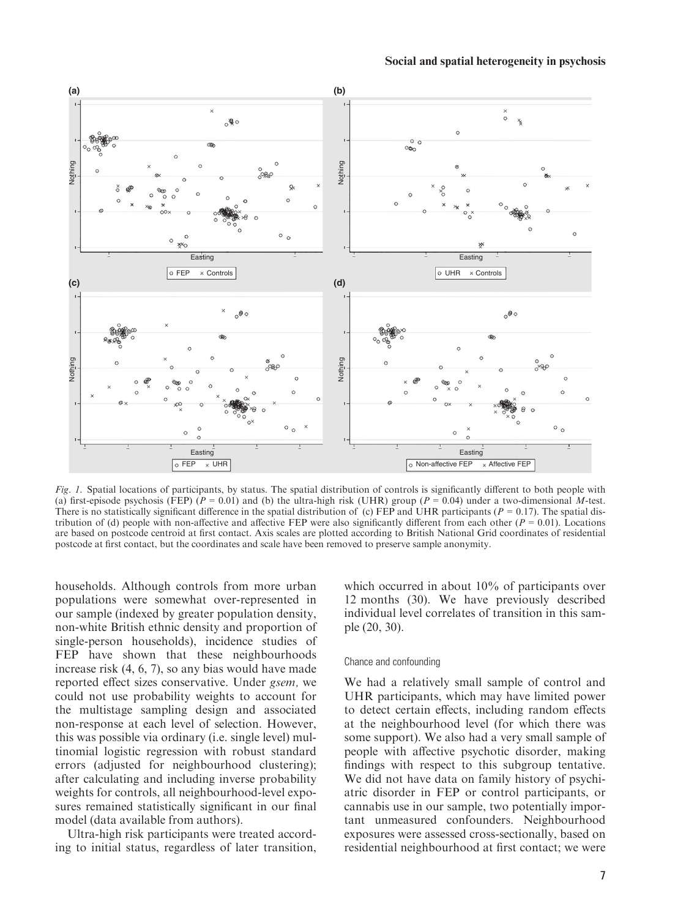

Fig. 1. Spatial locations of participants, by status. The spatial distribution of controls is significantly different to both people with (a) first-episode psychosis (FEP)  $(P = 0.01)$  and (b) the ultra-high risk (UHR) group  $(P = 0.04)$  under a two-dimensional M-test. There is no statistically significant difference in the spatial distribution of (c)  $\overrightarrow{FEP}$  and UHR participants ( $P = 0.17$ ). The spatial distribution of (d) people with non-affective and affective FEP were also significantly different from each other ( $P = 0.01$ ). Locations are based on postcode centroid at first contact. Axis scales are plotted according to British National Grid coordinates of residential postcode at first contact, but the coordinates and scale have been removed to preserve sample anonymity.

households. Although controls from more urban populations were somewhat over-represented in our sample (indexed by greater population density, non-white British ethnic density and proportion of single-person households), incidence studies of FEP have shown that these neighbourhoods increase risk (4, 6, 7), so any bias would have made reported effect sizes conservative. Under gsem, we could not use probability weights to account for the multistage sampling design and associated non-response at each level of selection. However, this was possible via ordinary (i.e. single level) multinomial logistic regression with robust standard errors (adjusted for neighbourhood clustering); after calculating and including inverse probability weights for controls, all neighbourhood-level exposures remained statistically significant in our final model (data available from authors).

Ultra-high risk participants were treated according to initial status, regardless of later transition, which occurred in about 10% of participants over 12 months (30). We have previously described individual level correlates of transition in this sample (20, 30).

#### Chance and confounding

We had a relatively small sample of control and UHR participants, which may have limited power to detect certain effects, including random effects at the neighbourhood level (for which there was some support). We also had a very small sample of people with affective psychotic disorder, making findings with respect to this subgroup tentative. We did not have data on family history of psychiatric disorder in FEP or control participants, or cannabis use in our sample, two potentially important unmeasured confounders. Neighbourhood exposures were assessed cross-sectionally, based on residential neighbourhood at first contact; we were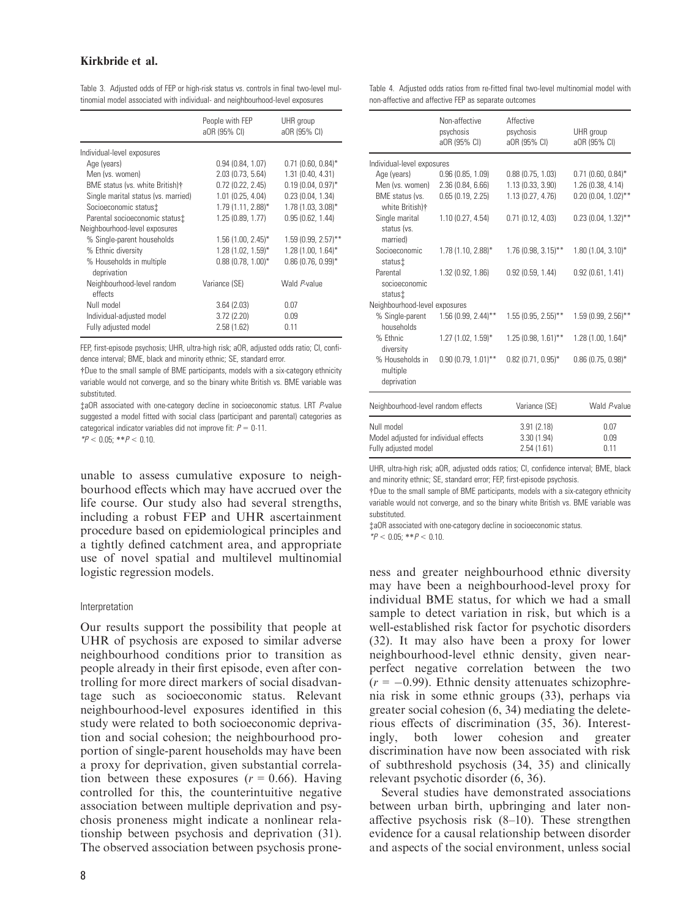|                                         | People with FEP<br>aOR (95% CI) | UHR group<br>aOR (95% CI) |
|-----------------------------------------|---------------------------------|---------------------------|
| Individual-level exposures              |                                 |                           |
| Age (years)                             | 0.94(0.84, 1.07)                | $0.71$ (0.60, 0.84)*      |
| Men (vs. women)                         | 2.03(0.73, 5.64)                | $1.31$ (0.40, 4.31)       |
| BME status (vs. white British)†         | $0.72$ (0.22, 2.45)             | $0.19(0.04, 0.97)^*$      |
| Single marital status (vs. married)     | $1.01$ (0.25, 4.04)             | 0.23(0.04, 1.34)          |
| Socioeconomic status‡                   | $1.79(1.11, 2.88)$ *            | $1.78(1.03, 3.08)^{*}$    |
| Parental socioeconomic status:          | 1.25 (0.89, 1.77)               | 0.95(0.62, 1.44)          |
| Neighbourhood-level exposures           |                                 |                           |
| % Single-parent households              | $1.56(1.00, 2.45)^*$            | $1.59(0.99, 2.57)$ **     |
| % Ethnic diversity                      | $1.28(1.02, 1.59)^*$            | $1.28(1.00, 1.64)$ *      |
| % Households in multiple<br>deprivation | $0.88(0.78, 1.00)$ *            | $0.86$ (0.76, 0.99)*      |
| Neighbourhood-level random<br>effects   | Variance (SE)                   | Wald P-value              |
| Null model                              | 3.64(2.03)                      | 0.07                      |
| Individual-adjusted model               | 3.72(2.20)                      | 0.09                      |
| Fully adjusted model                    | 2.58(1.62)                      | 0.11                      |

Table 3. Adjusted odds of FEP or high-risk status vs. controls in final two-level multinomial model associated with individual- and neighbourhood-level exposures

FEP, first-episode psychosis; UHR, ultra-high risk; aOR, adjusted odds ratio; CI, confidence interval; BME, black and minority ethnic; SE, standard error.

†Due to the small sample of BME participants, models with a six-category ethnicity variable would not converge, and so the binary white British vs. BME variable was substituted.

‡aOR associated with one-category decline in socioeconomic status. LRT P-value suggested a model fitted with social class (participant and parental) categories as categorical indicator variables did not improve fit:  $P = 0.11$ .

 $*P < 0.05$ ;  $*P < 0.10$ .

unable to assess cumulative exposure to neighbourhood effects which may have accrued over the life course. Our study also had several strengths, including a robust FEP and UHR ascertainment procedure based on epidemiological principles and a tightly defined catchment area, and appropriate use of novel spatial and multilevel multinomial logistic regression models.

#### Interpretation

Our results support the possibility that people at UHR of psychosis are exposed to similar adverse neighbourhood conditions prior to transition as people already in their first episode, even after controlling for more direct markers of social disadvantage such as socioeconomic status. Relevant neighbourhood-level exposures identified in this study were related to both socioeconomic deprivation and social cohesion; the neighbourhood proportion of single-parent households may have been a proxy for deprivation, given substantial correlation between these exposures  $(r = 0.66)$ . Having controlled for this, the counterintuitive negative association between multiple deprivation and psychosis proneness might indicate a nonlinear relationship between psychosis and deprivation (31). The observed association between psychosis proneTable 4. Adjusted odds ratios from re-fitted final two-level multinomial model with non-affective and affective FEP as separate outcomes

|                                                     | Non-affective<br>psychosis<br>aOR (95% CI) | Affective<br>psychosis<br>aOR (95% CI) | UHR group<br>aOR (95% CI) |
|-----------------------------------------------------|--------------------------------------------|----------------------------------------|---------------------------|
| Individual-level exposures                          |                                            |                                        |                           |
| Age (years)                                         | 0.96(0.85, 1.09)                           | 0.88(0.75, 1.03)                       | $0.71$ (0.60, 0.84)*      |
| Men (vs. women)                                     | 2.36 (0.84, 6.66)                          | 1.13 (0.33, 3.90)                      | 1.26 (0.38, 4.14)         |
| BME status (vs.<br>white British) <sup>+</sup>      | 0.65(0.19, 2.25)                           | 1.13 (0.27, 4.76)                      | $0.20(0.04, 1.02)$ **     |
| Single marital<br>status (vs.<br>married)           | 1.10 (0.27, 4.54)                          | $0.71$ $(0.12, 4.03)$                  | $0.23(0.04, 1.32)$ **     |
| Socioeconomic<br>statusi                            | 1.78 (1.10, 2.88)*                         | 1.76 (0.98, 3.15)**                    | $1.80(1.04, 3.10)^{*}$    |
| Parental<br>socioeconomic<br>status‡                | 1.32 (0.92, 1.86)                          | 0.92(0.59, 1.44)                       | 0.92(0.61, 1.41)          |
| Neighbourhood-level exposures                       |                                            |                                        |                           |
| % Single-parent<br>households                       | $1.56$ (0.99, 2.44)**                      | $1.55(0.95, 2.55)$ **                  | 1.59 (0.99, 2.56)**       |
| % Ethnic<br>diversity                               | $1.27$ (1.02, 1.59)*                       | $1.25(0.98, 1.61)$ **                  | $1.28(1.00, 1.64)^{*}$    |
| % Households in<br>multiple<br>deprivation          | $0.90(0.79, 1.01)$ **                      | $0.82$ (0.71, 0.95)*                   | $0.86$ (0.75, 0.98)*      |
| Neighbourhood-level random effects                  |                                            | Variance (SE)                          | Wald P-value              |
| Null model<br>Model adjusted for individual effects |                                            | 3.91(2.18)<br>3.30(1.94)               | 0.07<br>0.09              |
| Fully adjusted model                                |                                            | 2.54(1.61)                             | 0.11                      |

UHR, ultra-high risk; aOR, adjusted odds ratios; CI, confidence interval; BME, black and minority ethnic; SE, standard error; FEP, first-episode psychosis.

†Due to the small sample of BME participants, models with a six-category ethnicity variable would not converge, and so the binary white British vs. BME variable was substituted.

‡aOR associated with one-category decline in socioeconomic status.  $*P < 0.05; **P < 0.10.$ 

ness and greater neighbourhood ethnic diversity may have been a neighbourhood-level proxy for individual BME status, for which we had a small sample to detect variation in risk, but which is a well-established risk factor for psychotic disorders (32). It may also have been a proxy for lower neighbourhood-level ethnic density, given nearperfect negative correlation between the two  $(r = -0.99)$ . Ethnic density attenuates schizophrenia risk in some ethnic groups (33), perhaps via greater social cohesion (6, 34) mediating the deleterious effects of discrimination (35, 36). Interestingly, both lower cohesion and greater discrimination have now been associated with risk of subthreshold psychosis (34, 35) and clinically relevant psychotic disorder (6, 36).

Several studies have demonstrated associations between urban birth, upbringing and later nonaffective psychosis risk (8–10). These strengthen evidence for a causal relationship between disorder and aspects of the social environment, unless social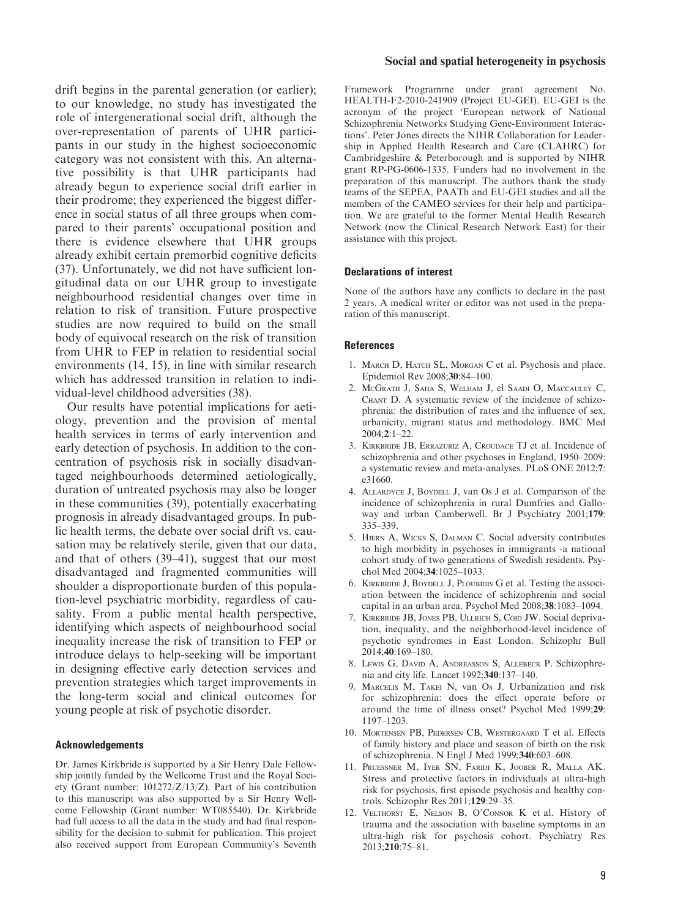drift begins in the parental generation (or earlier); to our knowledge, no study has investigated the role of intergenerational social drift, although the over-representation of parents of UHR participants in our study in the highest socioeconomic category was not consistent with this. An alternative possibility is that UHR participants had already begun to experience social drift earlier in their prodrome; they experienced the biggest difference in social status of all three groups when compared to their parents' occupational position and there is evidence elsewhere that UHR groups already exhibit certain premorbid cognitive deficits (37). Unfortunately, we did not have sufficient longitudinal data on our UHR group to investigate neighbourhood residential changes over time in relation to risk of transition. Future prospective studies are now required to build on the small body of equivocal research on the risk of transition from UHR to FEP in relation to residential social environments (14, 15), in line with similar research which has addressed transition in relation to individual-level childhood adversities (38).

Our results have potential implications for aetiology, prevention and the provision of mental health services in terms of early intervention and early detection of psychosis. In addition to the concentration of psychosis risk in socially disadvantaged neighbourhoods determined aetiologically, duration of untreated psychosis may also be longer in these communities (39), potentially exacerbating prognosis in already disadvantaged groups. In public health terms, the debate over social drift vs. causation may be relatively sterile, given that our data, and that of others (39–41), suggest that our most disadvantaged and fragmented communities will shoulder a disproportionate burden of this population-level psychiatric morbidity, regardless of causality. From a public mental health perspective, identifying which aspects of neighbourhood social inequality increase the risk of transition to FEP or introduce delays to help-seeking will be important in designing effective early detection services and prevention strategies which target improvements in the long-term social and clinical outcomes for young people at risk of psychotic disorder.

#### Acknowledgements

Dr. James Kirkbride is supported by a Sir Henry Dale Fellowship jointly funded by the Wellcome Trust and the Royal Society (Grant number: 101272/Z/13/Z). Part of his contribution to this manuscript was also supported by a Sir Henry Wellcome Fellowship (Grant number: WT085540). Dr. Kirkbride had full access to all the data in the study and had final responsibility for the decision to submit for publication. This project also received support from European Community's Seventh

#### Social and spatial heterogeneity in psychosis

Framework Programme under grant agreement No. HEALTH-F2-2010-241909 (Project EU-GEI). EU-GEI is the acronym of the project 'European network of National Schizophrenia Networks Studying Gene-Environment Interactions'. Peter Jones directs the NIHR Collaboration for Leadership in Applied Health Research and Care (CLAHRC) for Cambridgeshire & Peterborough and is supported by NIHR grant RP-PG-0606-1335. Funders had no involvement in the preparation of this manuscript. The authors thank the study teams of the SEPEA, PAATh and EU-GEI studies and all the members of the CAMEO services for their help and participation. We are grateful to the former Mental Health Research Network (now the Clinical Research Network East) for their assistance with this project.

#### Declarations of interest

None of the authors have any conflicts to declare in the past 2 years. A medical writer or editor was not used in the preparation of this manuscript.

#### **References**

- 1. March D, Hatch SL, Morgan C et al. Psychosis and place. Epidemiol Rev 2008;30:84–100.
- 2. McGrath J, Saha S, Welham J, el Saadi O, Maccauley C, CHANT D. A systematic review of the incidence of schizophrenia: the distribution of rates and the influence of sex, urbanicity, migrant status and methodology. BMC Med 2004;2:1–22.
- 3. Kirkbride JB, Errazuriz A, Croudace TJ et al. Incidence of schizophrenia and other psychoses in England, 1950–2009: a systematic review and meta-analyses. PLoS ONE 2012;7: e31660.
- 4. ALLARDYCE J, BOYDELL J, van Os J et al. Comparison of the incidence of schizophrenia in rural Dumfries and Galloway and urban Camberwell. Br J Psychiatry 2001;179: 335–339.
- 5. Hjern A, Wicks S, Dalman C. Social adversity contributes to high morbidity in psychoses in immigrants -a national cohort study of two generations of Swedish residents. Psychol Med 2004;34:1025–1033.
- 6. Kirkbride J, Boydell J, Ploubidis G et al. Testing the association between the incidence of schizophrenia and social capital in an urban area. Psychol Med 2008;38:1083–1094.
- 7. KIRKBRIDE JB, JONES PB, ULLRICH S, COID JW. Social deprivation, inequality, and the neighborhood-level incidence of psychotic syndromes in East London. Schizophr Bull 2014;40:169–180.
- 8. Lewis G, David A, Andreasson S, Allebeck P. Schizophrenia and city life. Lancet 1992;340:137–140.
- 9. Marcelis M, Takei N, van Os J. Urbanization and risk for schizophrenia: does the effect operate before or around the time of illness onset? Psychol Med 1999;29: 1197–1203.
- 10. Mortensen PB, Pedersen CB, Westergaard T et al. Effects of family history and place and season of birth on the risk of schizophrenia. N Engl J Med 1999;340:603–608.
- 11. Pruessner M, Iyer SN, Faridi K, Joober R, Malla AK. Stress and protective factors in individuals at ultra-high risk for psychosis, first episode psychosis and healthy controls. Schizophr Res 2011;129:29–35.
- 12. Velthorst E, Nelson B, O'Connor K et al. History of trauma and the association with baseline symptoms in an ultra-high risk for psychosis cohort. Psychiatry Res 2013;210:75–81.